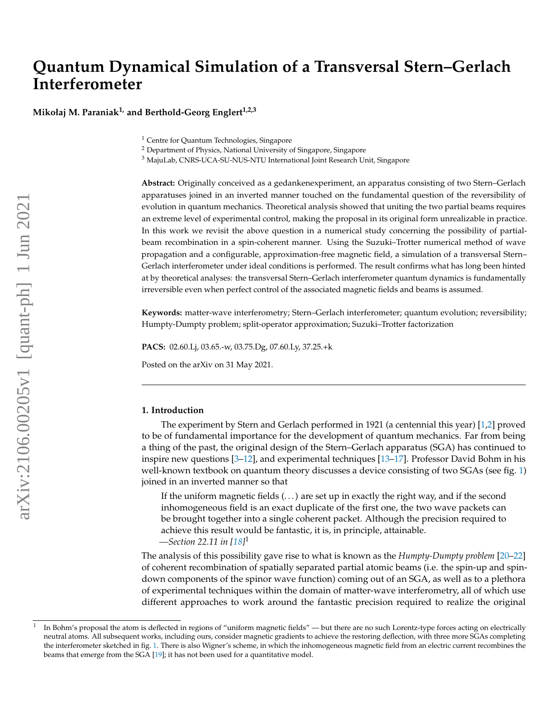# **Quantum Dynamical Simulation of a Transversal Stern–Gerlach Interferometer**

**Mikołaj M. Paraniak1, and Berthold-Georg Englert1,2,3**

<sup>1</sup> Centre for Quantum Technologies, Singapore

<sup>2</sup> Department of Physics, National University of Singapore, Singapore

<sup>3</sup> MajuLab, CNRS-UCA-SU-NUS-NTU International Joint Research Unit, Singapore

**Abstract:** Originally conceived as a gedankenexperiment, an apparatus consisting of two Stern–Gerlach apparatuses joined in an inverted manner touched on the fundamental question of the reversibility of evolution in quantum mechanics. Theoretical analysis showed that uniting the two partial beams requires an extreme level of experimental control, making the proposal in its original form unrealizable in practice. In this work we revisit the above question in a numerical study concerning the possibility of partialbeam recombination in a spin-coherent manner. Using the Suzuki–Trotter numerical method of wave propagation and a configurable, approximation-free magnetic field, a simulation of a transversal Stern– Gerlach interferometer under ideal conditions is performed. The result confirms what has long been hinted at by theoretical analyses: the transversal Stern–Gerlach interferometer quantum dynamics is fundamentally irreversible even when perfect control of the associated magnetic fields and beams is assumed.

**Keywords:** matter-wave interferometry; Stern–Gerlach interferometer; quantum evolution; reversibility; Humpty-Dumpty problem; split-operator approximation; Suzuki–Trotter factorization

**PACS:** 02.60.Lj, 03.65.-w, 03.75.Dg, 07.60.Ly, 37.25.+k

Posted on the arXiv on 31 May 2021.

## <span id="page-0-0"></span>**1. Introduction**

The experiment by Stern and Gerlach performed in 1921 (a centennial this year) [\[1,](#page-12-0)[2\]](#page-12-1) proved to be of fundamental importance for the development of quantum mechanics. Far from being a thing of the past, the original design of the Stern–Gerlach apparatus (SGA) has continued to inspire new questions [\[3–](#page-12-2)[12\]](#page-12-3), and experimental techniques [\[13](#page-12-4)[–17\]](#page-12-5). Professor David Bohm in his well-known textbook on quantum theory discusses a device consisting of two SGAs (see fig. [1\)](#page-1-0) joined in an inverted manner so that

If the uniform magnetic fields  $(\ldots)$  are set up in exactly the right way, and if the second inhomogeneous field is an exact duplicate of the first one, the two wave packets can be brought together into a single coherent packet. Although the precision required to achieve this result would be fantastic, it is, in principle, attainable. *—Section 22.11 in [\[18\]](#page-12-6)* 1

The analysis of this possibility gave rise to what is known as the *Humpty-Dumpty problem* [\[20–](#page-12-7)[22\]](#page-12-8) of coherent recombination of spatially separated partial atomic beams (i.e. the spin-up and spindown components of the spinor wave function) coming out of an SGA, as well as to a plethora of experimental techniques within the domain of matter-wave interferometry, all of which use different approaches to work around the fantastic precision required to realize the original

<sup>1</sup> In Bohm's proposal the atom is deflected in regions of "uniform magnetic fields" — but there are no such Lorentz-type forces acting on electrically neutral atoms. All subsequent works, including ours, consider magnetic gradients to achieve the restoring deflection, with three more SGAs completing the interferometer sketched in fig. [1.](#page-1-0) There is also Wigner's scheme, in which the inhomogeneous magnetic field from an electric current recombines the beams that emerge from the SGA [\[19\]](#page-12-9); it has not been used for a quantitative model.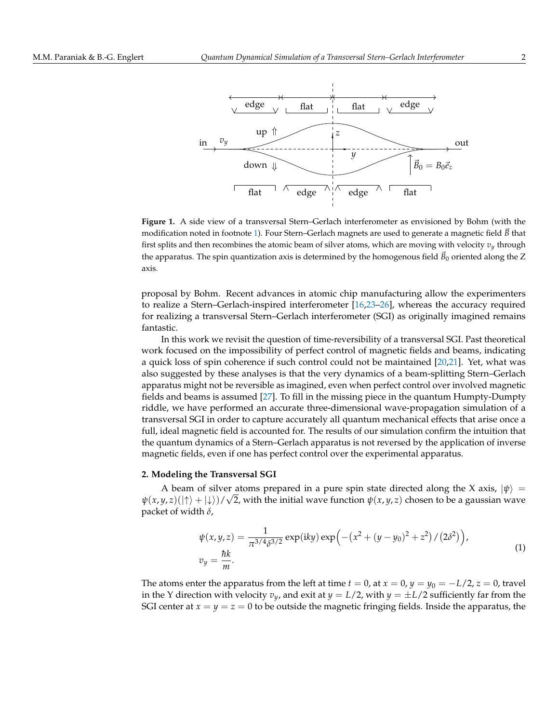<span id="page-1-0"></span>

**Figure 1.** A side view of a transversal Stern–Gerlach interferometer as envisioned by Bohm (with the modification noted in footnote [1\)](#page-0-0). Four Stern–Gerlach magnets are used to generate a magnetic field B that first splits and then recombines the atomic beam of silver atoms, which are moving with velocity  $v_y$  through the apparatus. The spin quantization axis is determined by the homogenous field  $\vec{B}_0$  oriented along the Z axis.

proposal by Bohm. Recent advances in atomic chip manufacturing allow the experimenters to realize a Stern–Gerlach-inspired interferometer [\[16](#page-12-10)[,23](#page-12-11)[–26\]](#page-12-12), whereas the accuracy required for realizing a transversal Stern–Gerlach interferometer (SGI) as originally imagined remains fantastic.

In this work we revisit the question of time-reversibility of a transversal SGI. Past theoretical work focused on the impossibility of perfect control of magnetic fields and beams, indicating a quick loss of spin coherence if such control could not be maintained [\[20](#page-12-7)[,21\]](#page-12-13). Yet, what was also suggested by these analyses is that the very dynamics of a beam-splitting Stern–Gerlach apparatus might not be reversible as imagined, even when perfect control over involved magnetic fields and beams is assumed [\[27\]](#page-12-14). To fill in the missing piece in the quantum Humpty-Dumpty riddle, we have performed an accurate three-dimensional wave-propagation simulation of a transversal SGI in order to capture accurately all quantum mechanical effects that arise once a full, ideal magnetic field is accounted for. The results of our simulation confirm the intuition that the quantum dynamics of a Stern–Gerlach apparatus is not reversed by the application of inverse magnetic fields, even if one has perfect control over the experimental apparatus.

#### **2. Modeling the Transversal SGI**

A beam of silver atoms prepared in a pure spin state directed along the X axis,  $|\psi\rangle$  =  $\psi(x, y, z)(|\uparrow\rangle + |\downarrow\rangle)/\sqrt{2}$ , with the initial wave function  $\psi(x, y, z)$  chosen to be a gaussian wave packet of width *δ*,

<span id="page-1-1"></span>
$$
\psi(x, y, z) = \frac{1}{\pi^{3/4} \delta^{3/2}} \exp(iky) \exp\left(-\left(x^2 + (y - y_0)^2 + z^2\right) / \left(2\delta^2\right)\right),
$$
  
\n
$$
v_y = \frac{\hbar k}{m}.
$$
\n(1)

The atoms enter the apparatus from the left at time  $t = 0$ , at  $x = 0$ ,  $y = y_0 = -L/2$ ,  $z = 0$ , travel in the Y direction with velocity  $v_y$ , and exit at  $y = L/2$ , with  $y = \pm L/2$  sufficiently far from the SGI center at  $x = y = z = 0$  to be outside the magnetic fringing fields. Inside the apparatus, the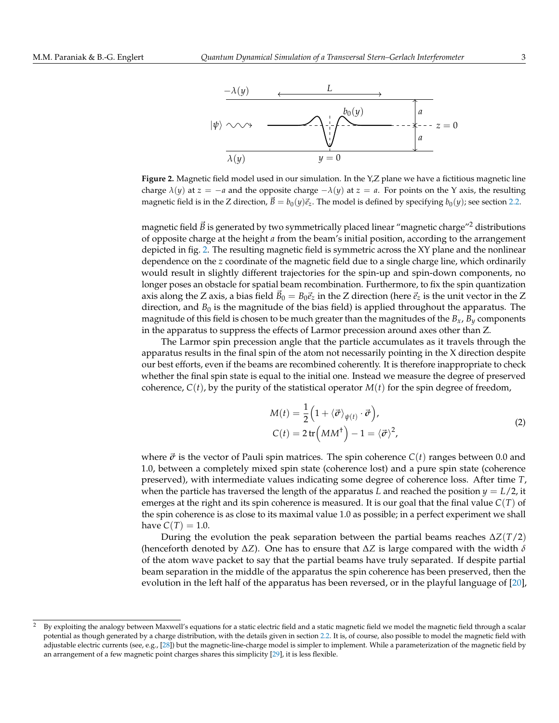<span id="page-2-0"></span>

**Figure 2.** Magnetic field model used in our simulation. In the Y,Z plane we have a fictitious magnetic line charge  $\lambda(y)$  at  $z = -a$  and the opposite charge  $-\lambda(y)$  at  $z = a$ . For points on the Y axis, the resulting magnetic field is in the Z direction,  $\vec{B} = b_0(y)\vec{e}_z$ . The model is defined by specifying  $b_0(y)$ ; see section [2.2.](#page-4-0)

magnetic field  $\vec{B}$  is generated by two symmetrically placed linear "magnetic charge"<sup>2</sup> distributions of opposite charge at the height *a* from the beam's initial position, according to the arrangement depicted in fig. [2.](#page-2-0) The resulting magnetic field is symmetric across the XY plane and the nonlinear dependence on the *z* coordinate of the magnetic field due to a single charge line, which ordinarily would result in slightly different trajectories for the spin-up and spin-down components, no longer poses an obstacle for spatial beam recombination. Furthermore, to fix the spin quantization axis along the Z axis, a bias field  $B_0 = B_0 \vec{e}_z$  in the Z direction (here  $\vec{e}_z$  is the unit vector in the Z direction, and  $B_0$  is the magnitude of the bias field) is applied throughout the apparatus. The magnitude of this field is chosen to be much greater than the magnitudes of the  $B_x$ ,  $B_y$  components in the apparatus to suppress the effects of Larmor precession around axes other than Z.

The Larmor spin precession angle that the particle accumulates as it travels through the apparatus results in the final spin of the atom not necessarily pointing in the X direction despite our best efforts, even if the beams are recombined coherently. It is therefore inappropriate to check whether the final spin state is equal to the initial one. Instead we measure the degree of preserved coherence,  $C(t)$ , by the purity of the statistical operator  $M(t)$  for the spin degree of freedom,

<span id="page-2-1"></span>
$$
M(t) = \frac{1}{2} \left( 1 + \langle \vec{\sigma} \rangle_{\psi(t)} \cdot \vec{\sigma} \right),
$$
  
\n
$$
C(t) = 2 \operatorname{tr} \left( MM^{\dagger} \right) - 1 = \langle \vec{\sigma} \rangle^{2},
$$
\n(2)

where  $\vec{\sigma}$  is the vector of Pauli spin matrices. The spin coherence  $C(t)$  ranges between 0.0 and 1.0, between a completely mixed spin state (coherence lost) and a pure spin state (coherence preserved), with intermediate values indicating some degree of coherence loss. After time *T*, when the particle has traversed the length of the apparatus *L* and reached the position  $y = L/2$ , it emerges at the right and its spin coherence is measured. It is our goal that the final value *C*(*T*) of the spin coherence is as close to its maximal value 1.0 as possible; in a perfect experiment we shall have  $C(T) = 1.0$ .

During the evolution the peak separation between the partial beams reaches ∆*Z*(*T*/2) (henceforth denoted by ∆*Z*). One has to ensure that ∆*Z* is large compared with the width *δ* of the atom wave packet to say that the partial beams have truly separated. If despite partial beam separation in the middle of the apparatus the spin coherence has been preserved, then the evolution in the left half of the apparatus has been reversed, or in the playful language of [\[20\]](#page-12-7),

<sup>&</sup>lt;sup>2</sup> By exploiting the analogy between Maxwell's equations for a static electric field and a static magnetic field we model the magnetic field through a scalar potential as though generated by a charge distribution, with the details given in section [2.2.](#page-4-0) It is, of course, also possible to model the magnetic field with adjustable electric currents (see, e.g., [\[28\]](#page-12-15)) but the magnetic-line-charge model is simpler to implement. While a parameterization of the magnetic field by an arrangement of a few magnetic point charges shares this simplicity [\[29\]](#page-12-16), it is less flexible.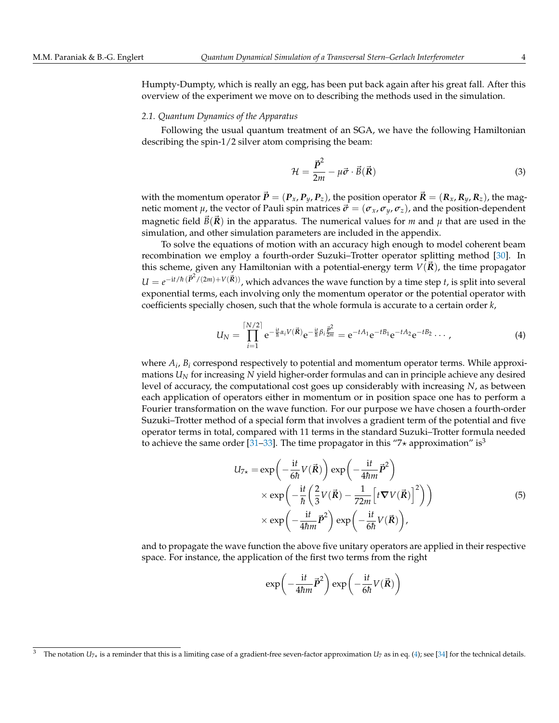Humpty-Dumpty, which is really an egg, has been put back again after his great fall. After this overview of the experiment we move on to describing the methods used in the simulation.

#### *2.1. Quantum Dynamics of the Apparatus*

Following the usual quantum treatment of an SGA, we have the following Hamiltonian describing the spin-1/2 silver atom comprising the beam:

<span id="page-3-1"></span>
$$
\mathcal{H} = \frac{\vec{P}^2}{2m} - \mu \vec{\sigma} \cdot \vec{B}(\vec{R})
$$
\n(3)

with the momentum operator  $\vec{P} = (P_x, P_y, P_z)$ , the position operator  $\vec{R} = (R_x, R_y, R_z)$ , the magnetic moment  $\mu$ , the vector of Pauli spin matrices  $\vec{\sigma} = (\sigma_x, \sigma_y, \sigma_z)$ , and the position-dependent magnetic field  $B(\vec{R})$  in the apparatus. The numerical values for *m* and  $\mu$  that are used in the simulation, and other simulation parameters are included in the appendix.

To solve the equations of motion with an accuracy high enough to model coherent beam recombination we employ a fourth-order Suzuki–Trotter operator splitting method [\[30\]](#page-12-17). In this scheme, given any Hamiltonian with a potential-energy term  $V(\vec{R})$ , the time propagator  $U = e^{-it/\hbar (\vec{P}^2/(2m) + V(\vec{R}))}$ , which advances the wave function by a time step *t*, is split into several exponential terms, each involving only the momentum operator or the potential operator with coefficients specially chosen, such that the whole formula is accurate to a certain order *k*,

<span id="page-3-0"></span>
$$
U_N = \prod_{i=1}^{\lceil N/2 \rceil} e^{-\frac{it}{\hbar}\alpha_i V(\vec{R})} e^{-\frac{it}{\hbar}\beta_i \frac{\vec{p}^2}{2m}} = e^{-tA_1} e^{-tB_1} e^{-tA_2} e^{-tB_2} \cdots,
$$
 (4)

where *A<sup>i</sup>* , *B<sup>i</sup>* correspond respectively to potential and momentum operator terms. While approximations *U<sup>N</sup>* for increasing *N* yield higher-order formulas and can in principle achieve any desired level of accuracy, the computational cost goes up considerably with increasing *N*, as between each application of operators either in momentum or in position space one has to perform a Fourier transformation on the wave function. For our purpose we have chosen a fourth-order Suzuki–Trotter method of a special form that involves a gradient term of the potential and five operator terms in total, compared with 11 terms in the standard Suzuki–Trotter formula needed to achieve the same order [\[31–](#page-12-18)[33\]](#page-13-0). The time propagator in this "7 $\star$  approximation" is<sup>3</sup>

$$
U_{7*} = \exp\left(-\frac{\mathrm{i}t}{6\hbar}V(\vec{R})\right)\exp\left(-\frac{\mathrm{i}t}{4\hbar m}\vec{P}^2\right)
$$
  
 
$$
\times \exp\left(-\frac{\mathrm{i}t}{\hbar}\left(\frac{2}{3}V(\vec{R}) - \frac{1}{72m}\left[t\nabla V(\vec{R})\right]^2\right)\right)
$$
  
 
$$
\times \exp\left(-\frac{\mathrm{i}t}{4\hbar m}\vec{P}^2\right)\exp\left(-\frac{\mathrm{i}t}{6\hbar}V(\vec{R})\right),\tag{5}
$$

and to propagate the wave function the above five unitary operators are applied in their respective space. For instance, the application of the first two terms from the right

$$
\exp\left(-\frac{\mathrm{i}t}{4\hbar m}\vec{P}^2\right)\exp\left(-\frac{\mathrm{i}t}{6\hbar}V(\vec{R})\right)
$$

The notation  $U_{7*}$  is a reminder that this is a limiting case of a gradient-free seven-factor approximation  $U_7$  as in eq. [\(4\)](#page-3-0); see [\[34\]](#page-13-1) for the technical details.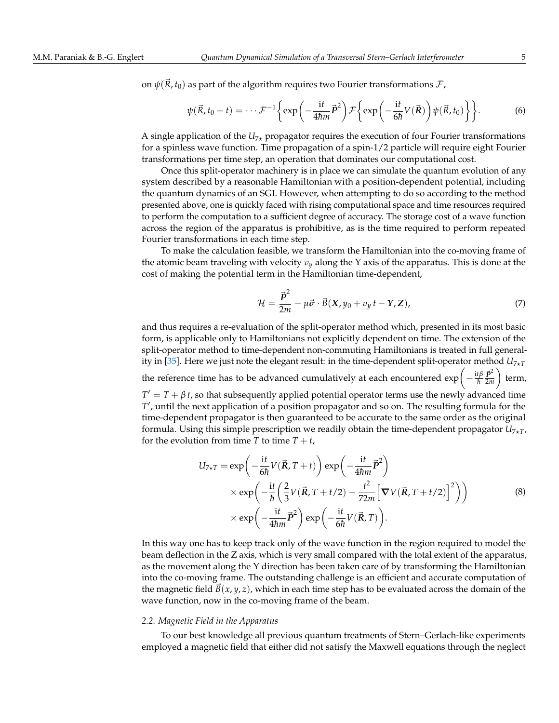on  $\psi(\vec{R}, t_0)$  as part of the algorithm requires two Fourier transformations  $\mathcal{F}$ ,

$$
\psi(\vec{R}, t_0 + t) = \cdots \mathcal{F}^{-1} \left\{ \exp\left( -\frac{\mathrm{i}t}{4\hbar m} \vec{P}^2 \right) \mathcal{F} \left\{ \exp\left( -\frac{\mathrm{i}t}{6\hbar} V(\vec{R}) \right) \psi(\vec{R}, t_0) \right\} \right\}.
$$
 (6)

A single application of the  $U_{7*}$  propagator requires the execution of four Fourier transformations for a spinless wave function. Time propagation of a spin-1/2 particle will require eight Fourier transformations per time step, an operation that dominates our computational cost.

Once this split-operator machinery is in place we can simulate the quantum evolution of any system described by a reasonable Hamiltonian with a position-dependent potential, including the quantum dynamics of an SGI. However, when attempting to do so according to the method presented above, one is quickly faced with rising computational space and time resources required to perform the computation to a sufficient degree of accuracy. The storage cost of a wave function across the region of the apparatus is prohibitive, as is the time required to perform repeated Fourier transformations in each time step.

To make the calculation feasible, we transform the Hamiltonian into the co-moving frame of the atomic beam traveling with velocity  $v_y$  along the Y axis of the apparatus. This is done at the cost of making the potential term in the Hamiltonian time-dependent,

<span id="page-4-1"></span>
$$
\mathcal{H} = \frac{\vec{P}^2}{2m} - \mu \vec{\sigma} \cdot \vec{B}(X, y_0 + v_y t - Y, Z), \tag{7}
$$

and thus requires a re-evaluation of the split-operator method which, presented in its most basic form, is applicable only to Hamiltonians not explicitly dependent on time. The extension of the split-operator method to time-dependent non-commuting Hamiltonians is treated in full general-ity in [\[35\]](#page-13-2). Here we just note the elegant result: in the time-dependent split-operator method  $U_{7\times T}$  $\setminus$ 

the reference time has to be advanced cumulatively at each encountered  $\exp\left(-\frac{\mathrm{i}t\beta}{\hbar}\right)$  $\frac{t\beta}{\hbar}\frac{\vec{\boldsymbol{p}}^2}{2m}$ 2*m* term,

 $T' = T + \beta t$ , so that subsequently applied potential operator terms use the newly advanced time *T*', until the next application of a position propagator and so on. The resulting formula for the time-dependent propagator is then guaranteed to be accurate to the same order as the original formula. Using this simple prescription we readily obtain the time-dependent propagator  $U_{7*T}$ , for the evolution from time *T* to time  $T + t$ ,

$$
U_{7\star T} = \exp\left(-\frac{\mathrm{i}t}{6\hbar}V(\vec{R},T+t)\right)\exp\left(-\frac{\mathrm{i}t}{4\hbar m}\vec{P}^2\right)
$$
  
×  $\exp\left(-\frac{\mathrm{i}t}{\hbar}\left(\frac{2}{3}V(\vec{R},T+t/2)-\frac{t^2}{72m}\left[\nabla V(\vec{R},T+t/2)\right]^2\right)\right)$   
×  $\exp\left(-\frac{\mathrm{i}t}{4\hbar m}\vec{P}^2\right)\exp\left(-\frac{\mathrm{i}t}{6\hbar}V(\vec{R},T)\right).$  (8)

In this way one has to keep track only of the wave function in the region required to model the beam deflection in the Z axis, which is very small compared with the total extent of the apparatus, as the movement along the Y direction has been taken care of by transforming the Hamiltonian into the co-moving frame. The outstanding challenge is an efficient and accurate computation of the magnetic field  $B(x, y, z)$ , which in each time step has to be evaluated across the domain of the wave function, now in the co-moving frame of the beam.

#### <span id="page-4-0"></span>*2.2. Magnetic Field in the Apparatus*

To our best knowledge all previous quantum treatments of Stern–Gerlach-like experiments employed a magnetic field that either did not satisfy the Maxwell equations through the neglect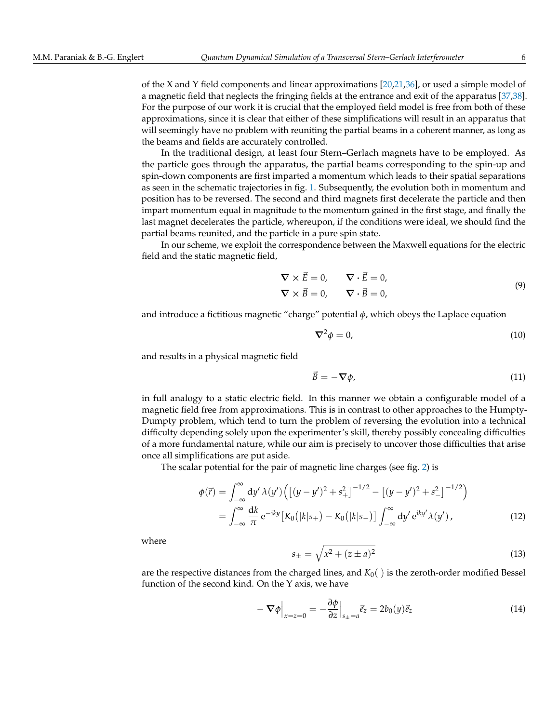of the X and Y field components and linear approximations [\[20,](#page-12-7)[21](#page-12-13)[,36\]](#page-13-3), or used a simple model of a magnetic field that neglects the fringing fields at the entrance and exit of the apparatus [\[37](#page-13-4)[,38\]](#page-13-5). For the purpose of our work it is crucial that the employed field model is free from both of these approximations, since it is clear that either of these simplifications will result in an apparatus that will seemingly have no problem with reuniting the partial beams in a coherent manner, as long as the beams and fields are accurately controlled.

In the traditional design, at least four Stern–Gerlach magnets have to be employed. As the particle goes through the apparatus, the partial beams corresponding to the spin-up and spin-down components are first imparted a momentum which leads to their spatial separations as seen in the schematic trajectories in fig. [1.](#page-1-0) Subsequently, the evolution both in momentum and position has to be reversed. The second and third magnets first decelerate the particle and then impart momentum equal in magnitude to the momentum gained in the first stage, and finally the last magnet decelerates the particle, whereupon, if the conditions were ideal, we should find the partial beams reunited, and the particle in a pure spin state.

In our scheme, we exploit the correspondence between the Maxwell equations for the electric field and the static magnetic field,

$$
\nabla \times \vec{E} = 0, \qquad \nabla \cdot \vec{E} = 0,
$$
  
\n
$$
\nabla \times \vec{B} = 0, \qquad \nabla \cdot \vec{B} = 0,
$$
  
\n(9)

and introduce a fictitious magnetic "charge" potential *φ*, which obeys the Laplace equation

<span id="page-5-0"></span>
$$
\nabla^2 \phi = 0,\t(10)
$$

and results in a physical magnetic field

$$
\vec{B} = -\nabla \phi,\tag{11}
$$

in full analogy to a static electric field. In this manner we obtain a configurable model of a magnetic field free from approximations. This is in contrast to other approaches to the Humpty-Dumpty problem, which tend to turn the problem of reversing the evolution into a technical difficulty depending solely upon the experimenter's skill, thereby possibly concealing difficulties of a more fundamental nature, while our aim is precisely to uncover those difficulties that arise once all simplifications are put aside.

The scalar potential for the pair of magnetic line charges (see fig. [2\)](#page-2-0) is

$$
\phi(\vec{r}) = \int_{-\infty}^{\infty} dy' \,\lambda(y') \Big( \big[ (y - y')^2 + s_+^2 \big]^{-1/2} - \big[ (y - y')^2 + s_-^2 \big]^{-1/2} \Big) \n= \int_{-\infty}^{\infty} \frac{dk}{\pi} e^{-iky} \big[ K_0 \big( |k| s_+ \big) - K_0 \big( |k| s_- \big) \big] \int_{-\infty}^{\infty} dy' e^{iky'} \lambda(y') \,,
$$
\n(12)

where

$$
s_{\pm} = \sqrt{x^2 + (z \pm a)^2} \tag{13}
$$

are the respective distances from the charged lines, and  $K_0($  ) is the zeroth-order modified Bessel function of the second kind. On the Y axis, we have

$$
-\nabla \phi\Big|_{x=z=0} = -\frac{\partial \phi}{\partial z}\Big|_{s_\pm=a} \vec{e}_z = 2b_0(y)\vec{e}_z \tag{14}
$$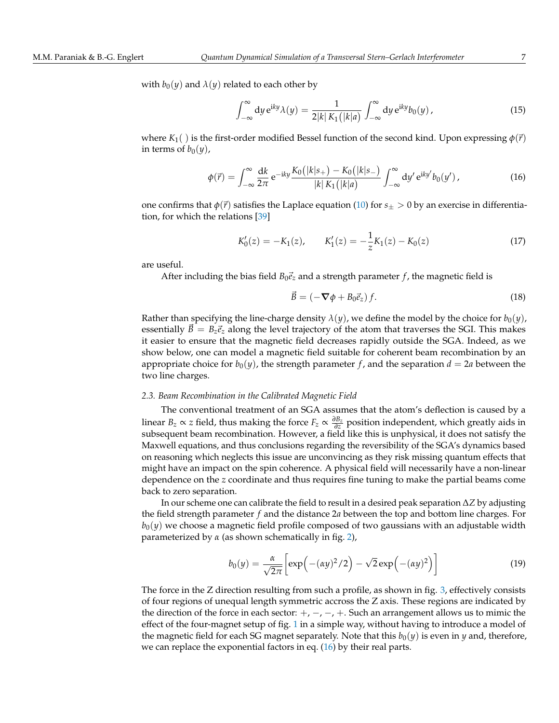with  $b_0(y)$  and  $\lambda(y)$  related to each other by

$$
\int_{-\infty}^{\infty} dy \, \mathrm{e}^{\mathrm{i}ky} \lambda(y) = \frac{1}{2|k| K_1(|k|a)} \int_{-\infty}^{\infty} dy \, \mathrm{e}^{\mathrm{i}ky} b_0(y) \,, \tag{15}
$$

where  $K_1$ () is the first-order modified Bessel function of the second kind. Upon expressing  $\phi(\vec{r})$ in terms of  $b_0(y)$ ,

<span id="page-6-0"></span>
$$
\phi(\vec{r}) = \int_{-\infty}^{\infty} \frac{dk}{2\pi} e^{-iky} \frac{K_0(|k|s_+) - K_0(|k|s_-)}{|k| K_1(|k|a)} \int_{-\infty}^{\infty} dy' e^{iky'} b_0(y') , \qquad (16)
$$

one confirms that  $\phi(\vec{r})$  satisfies the Laplace equation [\(10\)](#page-5-0) for  $s_{\pm} > 0$  by an exercise in differentiation, for which the relations [\[39\]](#page-13-6)

$$
K_0'(z) = -K_1(z), \qquad K_1'(z) = -\frac{1}{z}K_1(z) - K_0(z)
$$
\n(17)

are useful.

After including the bias field  $B_0\vec{e}_z$  and a strength parameter *f*, the magnetic field is

<span id="page-6-2"></span>
$$
\vec{B} = \left(-\nabla\phi + B_0\vec{e}_z\right)f.
$$
\n(18)

Rather than specifying the line-charge density  $\lambda(y)$ , we define the model by the choice for  $b_0(y)$ , essentially  $\vec{B} = B_z \vec{e}_z$  along the level trajectory of the atom that traverses the SGI. This makes it easier to ensure that the magnetic field decreases rapidly outside the SGA. Indeed, as we show below, one can model a magnetic field suitable for coherent beam recombination by an appropriate choice for  $b_0(y)$ , the strength parameter f, and the separation  $d = 2a$  between the two line charges.

#### *2.3. Beam Recombination in the Calibrated Magnetic Field*

The conventional treatment of an SGA assumes that the atom's deflection is caused by a linear  $B_z \propto z$  field, thus making the force  $F_z \propto \frac{\partial B_z}{\partial z}$  position independent, which greatly aids in subsequent beam recombination. However, a field like this is unphysical, it does not satisfy the Maxwell equations, and thus conclusions regarding the reversibility of the SGA's dynamics based on reasoning which neglects this issue are unconvincing as they risk missing quantum effects that might have an impact on the spin coherence. A physical field will necessarily have a non-linear dependence on the *z* coordinate and thus requires fine tuning to make the partial beams come back to zero separation.

In our scheme one can calibrate the field to result in a desired peak separation ∆*Z* by adjusting the field strength parameter *f* and the distance 2*a* between the top and bottom line charges. For  $b<sub>0</sub>(y)$  we choose a magnetic field profile composed of two gaussians with an adjustable width parameterized by *α* (as shown schematically in fig. [2\)](#page-2-0),

<span id="page-6-1"></span>
$$
b_0(y) = \frac{\alpha}{\sqrt{2\pi}} \left[ \exp\left(-(\alpha y)^2/2\right) - \sqrt{2} \exp\left(-(\alpha y)^2\right) \right] \tag{19}
$$

The force in the Z direction resulting from such a profile, as shown in fig. [3,](#page-7-0) effectively consists of four regions of unequal length symmetric accross the Z axis. These regions are indicated by the direction of the force in each sector:  $+$ ,  $-$ ,  $-$ ,  $+$ . Such an arrangement allows us to mimic the effect of the four-magnet setup of fig. [1](#page-1-0) in a simple way, without having to introduce a model of the magnetic field for each SG magnet separately. Note that this  $b_0(y)$  is even in *y* and, therefore, we can replace the exponential factors in eq.  $(16)$  by their real parts.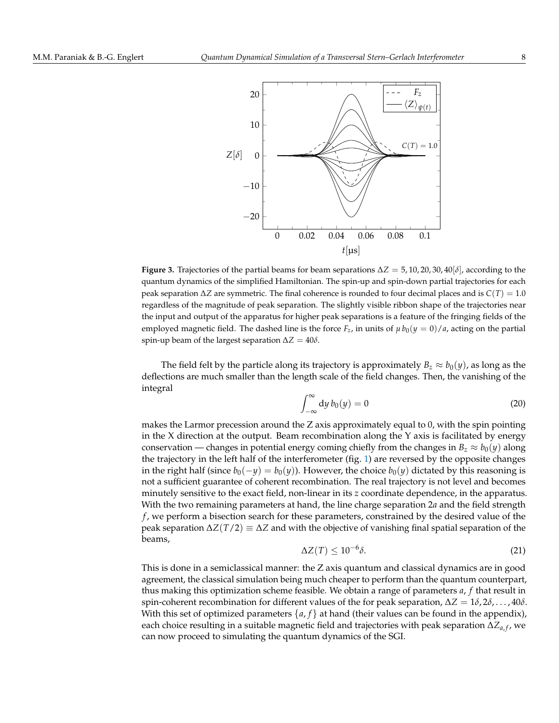<span id="page-7-0"></span>

**Figure 3.** Trajectories of the partial beams for beam separations ∆*Z* = 5, 10, 20, 30, 40[*δ*], according to the quantum dynamics of the simplified Hamiltonian. The spin-up and spin-down partial trajectories for each peak separation ∆*Z* are symmetric. The final coherence is rounded to four decimal places and is *C*(*T*) = 1.0 regardless of the magnitude of peak separation. The slightly visible ribbon shape of the trajectories near the input and output of the apparatus for higher peak separations is a feature of the fringing fields of the employed magnetic field. The dashed line is the force  $F_z$ , in units of  $\mu b_0(y = 0)/a$ , acting on the partial spin-up beam of the largest separation  $\Delta Z = 40\delta$ .

The field felt by the particle along its trajectory is approximately  $B_z \approx b_0(\gamma)$ , as long as the deflections are much smaller than the length scale of the field changes. Then, the vanishing of the integral

$$
\int_{-\infty}^{\infty} dy \, b_0(y) = 0 \tag{20}
$$

makes the Larmor precession around the Z axis approximately equal to 0, with the spin pointing in the  $X$  direction at the output. Beam recombination along the  $Y$  axis is facilitated by energy conservation — changes in potential energy coming chiefly from the changes in  $B_z \approx b_0(y)$  along the trajectory in the left half of the interferometer (fig. [1\)](#page-1-0) are reversed by the opposite changes in the right half (since  $b_0(-y) = b_0(y)$ ). However, the choice  $b_0(y)$  dictated by this reasoning is not a sufficient guarantee of coherent recombination. The real trajectory is not level and becomes minutely sensitive to the exact field, non-linear in its *z* coordinate dependence, in the apparatus. With the two remaining parameters at hand, the line charge separation 2*a* and the field strength *f* , we perform a bisection search for these parameters, constrained by the desired value of the peak separation ∆*Z*(*T*/2) ≡ ∆*Z* and with the objective of vanishing final spatial separation of the beams,

$$
\Delta Z(T) \le 10^{-6} \delta. \tag{21}
$$

This is done in a semiclassical manner: the Z axis quantum and classical dynamics are in good agreement, the classical simulation being much cheaper to perform than the quantum counterpart, thus making this optimization scheme feasible. We obtain a range of parameters *a*, *f* that result in spin-coherent recombination for different values of the for peak separation,  $ΔZ = 1δ, 2δ, ..., 40δ$ . With this set of optimized parameters  $\{a, f\}$  at hand (their values can be found in the appendix), each choice resulting in a suitable magnetic field and trajectories with peak separation  $\Delta Z_{a,f}$ , we can now proceed to simulating the quantum dynamics of the SGI.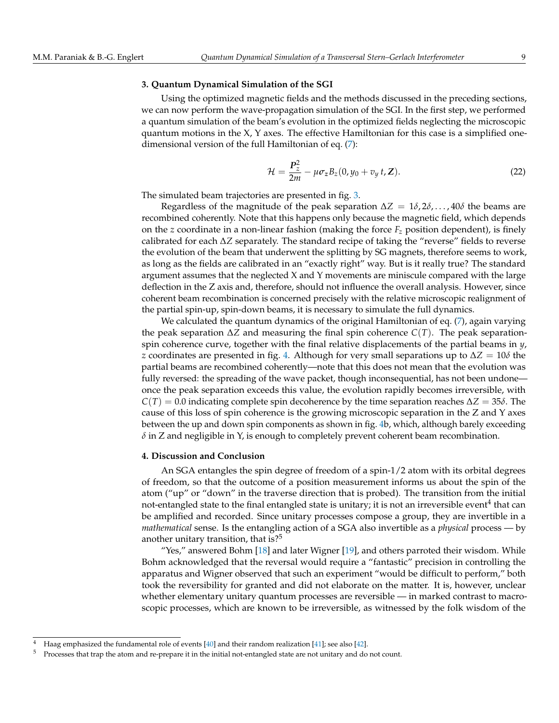### **3. Quantum Dynamical Simulation of the SGI**

Using the optimized magnetic fields and the methods discussed in the preceding sections, we can now perform the wave-propagation simulation of the SGI. In the first step, we performed a quantum simulation of the beam's evolution in the optimized fields neglecting the microscopic quantum motions in the X, Y axes. The effective Hamiltonian for this case is a simplified onedimensional version of the full Hamiltonian of eq. [\(7\)](#page-4-1):

$$
\mathcal{H} = \frac{\mathbf{P}_z^2}{2m} - \mu \sigma_z B_z (0, y_0 + v_y t, \mathbf{Z}). \tag{22}
$$

The simulated beam trajectories are presented in fig. [3.](#page-7-0)

Regardless of the magnitude of the peak separation  $\Delta Z = 1\delta$ ,  $2\delta$ , ...,  $40\delta$  the beams are recombined coherently. Note that this happens only because the magnetic field, which depends on the *z* coordinate in a non-linear fashion (making the force  $F_z$  position dependent), is finely calibrated for each ∆*Z* separately. The standard recipe of taking the "reverse" fields to reverse the evolution of the beam that underwent the splitting by SG magnets, therefore seems to work, as long as the fields are calibrated in an "exactly right" way. But is it really true? The standard argument assumes that the neglected X and Y movements are miniscule compared with the large deflection in the Z axis and, therefore, should not influence the overall analysis. However, since coherent beam recombination is concerned precisely with the relative microscopic realignment of the partial spin-up, spin-down beams, it is necessary to simulate the full dynamics.

We calculated the quantum dynamics of the original Hamiltonian of eq. [\(7\)](#page-4-1), again varying the peak separation ∆*Z* and measuring the final spin coherence *C*(*T*). The peak separationspin coherence curve, together with the final relative displacements of the partial beams in *y*, *z* coordinates are presented in fig. [4.](#page-9-0) Although for very small separations up to  $\Delta Z = 10\delta$  the partial beams are recombined coherently—note that this does not mean that the evolution was fully reversed: the spreading of the wave packet, though inconsequential, has not been undone once the peak separation exceeds this value, the evolution rapidly becomes irreversible, with  $C(T) = 0.0$  indicating complete spin decoherence by the time separation reaches  $\Delta Z = 35\delta$ . The cause of this loss of spin coherence is the growing microscopic separation in the Z and Y axes between the up and down spin components as shown in fig. [4b](#page-9-0), which, although barely exceeding  $\delta$  in Z and negligible in Y, is enough to completely prevent coherent beam recombination.

## **4. Discussion and Conclusion**

An SGA entangles the spin degree of freedom of a spin-1/2 atom with its orbital degrees of freedom, so that the outcome of a position measurement informs us about the spin of the atom ("up" or "down" in the traverse direction that is probed). The transition from the initial not-entangled state to the final entangled state is unitary; it is not an irreversible event $^4$  that can be amplified and recorded. Since unitary processes compose a group, they are invertible in a *mathematical* sense. Is the entangling action of a SGA also invertible as a *physical* process — by another unitary transition, that is? $5^{\circ}$ 

"Yes," answered Bohm [\[18\]](#page-12-6) and later Wigner [\[19\]](#page-12-9), and others parroted their wisdom. While Bohm acknowledged that the reversal would require a "fantastic" precision in controlling the apparatus and Wigner observed that such an experiment "would be difficult to perform," both took the reversibility for granted and did not elaborate on the matter. It is, however, unclear whether elementary unitary quantum processes are reversible — in marked contrast to macroscopic processes, which are known to be irreversible, as witnessed by the folk wisdom of the

<sup>4</sup> Haag emphasized the fundamental role of events [\[40\]](#page-13-7) and their random realization [\[41\]](#page-13-8); see also [\[42\]](#page-13-9).

<sup>5</sup> Processes that trap the atom and re-prepare it in the initial not-entangled state are not unitary and do not count.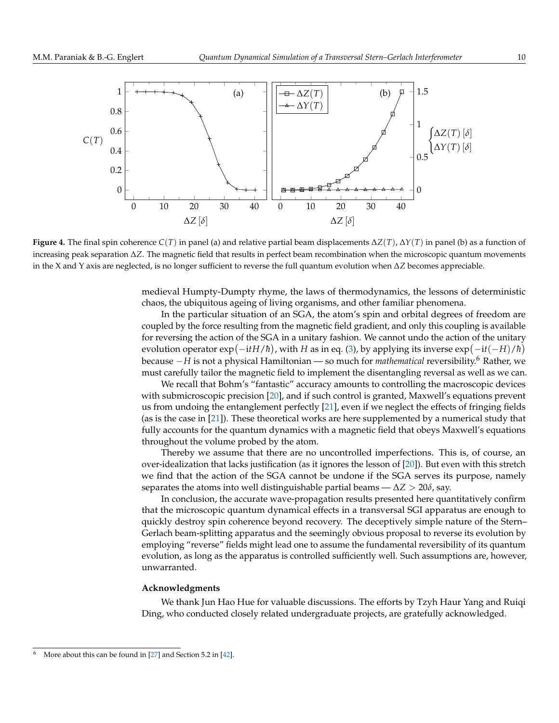<span id="page-9-0"></span>

**Figure 4.** The final spin coherence *C*(*T*) in panel (a) and relative partial beam displacements ∆*Z*(*T*), ∆*Y*(*T*) in panel (b) as a function of increasing peak separation ∆*Z*. The magnetic field that results in perfect beam recombination when the microscopic quantum movements in the X and Y axis are neglected, is no longer sufficient to reverse the full quantum evolution when ∆*Z* becomes appreciable.

medieval Humpty-Dumpty rhyme, the laws of thermodynamics, the lessons of deterministic chaos, the ubiquitous ageing of living organisms, and other familiar phenomena.

In the particular situation of an SGA, the atom's spin and orbital degrees of freedom are coupled by the force resulting from the magnetic field gradient, and only this coupling is available for reversing the action of the SGA in a unitary fashion. We cannot undo the action of the unitary evolution operator  $\exp(-\mathrm{i}tH/\hbar)$ , with *H* as in eq. [\(3\)](#page-3-1), by applying its inverse  $\exp(-\mathrm{i}t(-H)/\hbar)$ because <sup>−</sup>*<sup>H</sup>* is not a physical Hamiltonian — so much for *mathematical* reversibility.<sup>6</sup> Rather, we must carefully tailor the magnetic field to implement the disentangling reversal as well as we can.

We recall that Bohm's "fantastic" accuracy amounts to controlling the macroscopic devices with submicroscopic precision [\[20\]](#page-12-7), and if such control is granted, Maxwell's equations prevent us from undoing the entanglement perfectly [\[21\]](#page-12-13), even if we neglect the effects of fringing fields (as is the case in [\[21\]](#page-12-13)). These theoretical works are here supplemented by a numerical study that fully accounts for the quantum dynamics with a magnetic field that obeys Maxwell's equations throughout the volume probed by the atom.

Thereby we assume that there are no uncontrolled imperfections. This is, of course, an over-idealization that lacks justification (as it ignores the lesson of [\[20\]](#page-12-7)). But even with this stretch we find that the action of the SGA cannot be undone if the SGA serves its purpose, namely separates the atoms into well distinguishable partial beams —  $\Delta Z > 20\delta$ , say.

In conclusion, the accurate wave-propagation results presented here quantitatively confirm that the microscopic quantum dynamical effects in a transversal SGI apparatus are enough to quickly destroy spin coherence beyond recovery. The deceptively simple nature of the Stern– Gerlach beam-splitting apparatus and the seemingly obvious proposal to reverse its evolution by employing "reverse" fields might lead one to assume the fundamental reversibility of its quantum evolution, as long as the apparatus is controlled sufficiently well. Such assumptions are, however, unwarranted.

### **Acknowledgments**

We thank Jun Hao Hue for valuable discussions. The efforts by Tzyh Haur Yang and Ruiqi Ding, who conducted closely related undergraduate projects, are gratefully acknowledged.

<sup>&</sup>lt;sup>6</sup> More about this can be found in [\[27\]](#page-12-14) and Section 5.2 in [\[42\]](#page-13-9).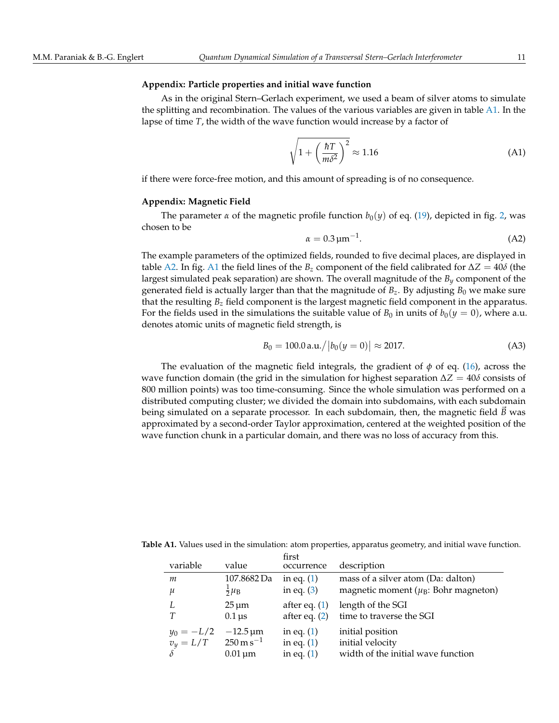## **Appendix: Particle properties and initial wave function**

As in the original Stern–Gerlach experiment, we used a beam of silver atoms to simulate the splitting and recombination. The values of the various variables are given in table  $A1$ . In the lapse of time *T*, the width of the wave function would increase by a factor of

$$
\sqrt{1 + \left(\frac{\hbar T}{m\delta^2}\right)^2} \approx 1.16\tag{A1}
$$

if there were force-free motion, and this amount of spreading is of no consequence.

#### **Appendix: Magnetic Field**

The parameter  $\alpha$  of the magnetic profile function  $b_0(y)$  of eq. [\(19\)](#page-6-1), depicted in fig. [2,](#page-2-0) was chosen to be

$$
\alpha = 0.3 \,\mathrm{\mu m}^{-1}.\tag{A2}
$$

The example parameters of the optimized fields, rounded to five decimal places, are displayed in table [A2.](#page-11-0) In fig. [A1](#page-11-1) the field lines of the  $B_z$  component of the field calibrated for  $\Delta Z = 40\delta$  (the largest simulated peak separation) are shown. The overall magnitude of the *B<sup>y</sup>* component of the generated field is actually larger than that the magnitude of  $B_z$ . By adjusting  $B_0$  we make sure that the resulting *B<sup>z</sup>* field component is the largest magnetic field component in the apparatus. For the fields used in the simulations the suitable value of  $B_0$  in units of  $b_0(y = 0)$ , where a.u. denotes atomic units of magnetic field strength, is

$$
B_0 = 100.0 \,\text{a.u.} / |b_0(y=0)| \approx 2017. \tag{A3}
$$

The evaluation of the magnetic field integrals, the gradient of *φ* of eq. [\(16\)](#page-6-0), across the wave function domain (the grid in the simulation for highest separation ∆*Z* = 40*δ* consists of 800 million points) was too time-consuming. Since the whole simulation was performed on a distributed computing cluster; we divided the domain into subdomains, with each subdomain being simulated on a separate processor. In each subdomain, then, the magnetic field  $\vec{B}$  was approximated by a second-order Taylor approximation, centered at the weighted position of the wave function chunk in a particular domain, and there was no loss of accuracy from this.

<span id="page-10-0"></span>**Table A1.** Values used in the simulation: atom properties, apparatus geometry, and initial wave function.

| variable     | value                               | first<br>occurrence | description                                           |
|--------------|-------------------------------------|---------------------|-------------------------------------------------------|
| m            | 107.8682 Da                         | in eq. $(1)$        | mass of a silver atom (Da: dalton)                    |
| и            | $rac{1}{2}\mu_B$                    | in eq. $(3)$        | magnetic moment ( $\mu$ <sub>B</sub> : Bohr magneton) |
|              | $25 \,\mathrm{\upmu m}$             | after eq. $(1)$     | length of the SGI                                     |
| Т            | $0.1 \,\mathrm{\mu s}$              | after eq. $(2)$     | time to traverse the SGI                              |
| $y_0 = -L/2$ | $-12.5 \,\mathrm{\mu m}$            | in eq. $(1)$        | initial position                                      |
| $v_y = L/T$  | $250 \,\mathrm{m}\,\mathrm{s}^{-1}$ | in eq. $(1)$        | initial velocity                                      |
|              | $0.01 \,\mathrm{\mu m}$             | in eq. $(1)$        | width of the initial wave function                    |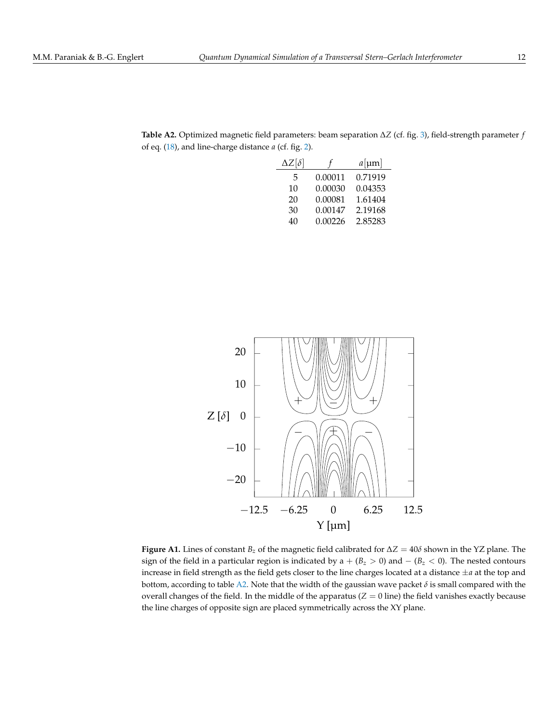| $\Delta Z[\delta]$ |         | $a$ [µm] |
|--------------------|---------|----------|
| 5                  | 0.00011 | 0.71919  |
| 10                 | 0.00030 | 0.04353  |
| 20                 | 0.00081 | 1.61404  |
| 30                 | 0.00147 | 2.19168  |
| 40                 | 0.00226 | 2.85283  |

<span id="page-11-0"></span>**Table A2.** Optimized magnetic field parameters: beam separation ∆*Z* (cf. fig. [3\)](#page-7-0), field-strength parameter *f* of eq. [\(18\)](#page-6-2), and line-charge distance *a* (cf. fig. [2\)](#page-2-0).

<span id="page-11-1"></span>

**Figure A1.** Lines of constant  $B_z$  of the magnetic field calibrated for  $\Delta Z = 40\delta$  shown in the YZ plane. The sign of the field in a particular region is indicated by a  $+ (B<sub>z</sub> > 0)$  and  $- (B<sub>z</sub> < 0)$ . The nested contours increase in field strength as the field gets closer to the line charges located at a distance ±*a* at the top and bottom, according to table [A2.](#page-11-0) Note that the width of the gaussian wave packet  $\delta$  is small compared with the overall changes of the field. In the middle of the apparatus  $(Z = 0)$  line) the field vanishes exactly because the line charges of opposite sign are placed symmetrically across the XY plane.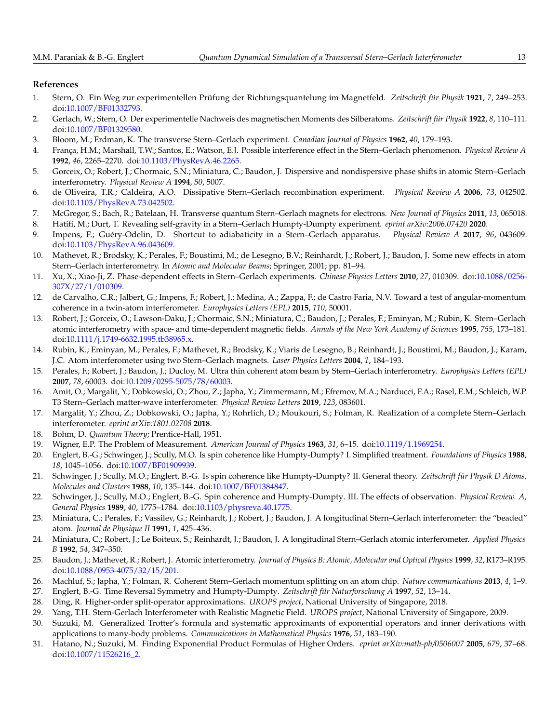# **References**

- <span id="page-12-0"></span>1. Stern, O. Ein Weg zur experimentellen Prüfung der Richtungsquantelung im Magnetfeld. *Zeitschrift für Physik* **1921**, *7*, 249–253. doi[:10.1007/BF01332793.](https://doi.org/10.1007/BF01332793)
- <span id="page-12-1"></span>2. Gerlach, W.; Stern, O. Der experimentelle Nachweis des magnetischen Moments des Silberatoms. *Zeitschrift für Physik* **1922**, *8*, 110–111. doi[:10.1007/BF01329580.](https://doi.org/10.1007/BF01329580)
- <span id="page-12-2"></span>3. Bloom, M.; Erdman, K. The transverse Stern–Gerlach experiment. *Canadian Journal of Physics* **1962**, *40*, 179–193.
- 4. França, H.M.; Marshall, T.W.; Santos, E.; Watson, E.J. Possible interference effect in the Stern–Gerlach phenomenon. *Physical Review A* **1992**, *46*, 2265–2270. doi[:10.1103/PhysRevA.46.2265.](https://doi.org/10.1103/PhysRevA.46.2265)
- 5. Gorceix, O.; Robert, J.; Chormaic, S.N.; Miniatura, C.; Baudon, J. Dispersive and nondispersive phase shifts in atomic Stern–Gerlach interferometry. *Physical Review A* **1994**, *50*, 5007.
- 6. de Oliveira, T.R.; Caldeira, A.O. Dissipative Stern–Gerlach recombination experiment. *Physical Review A* **2006**, *73*, 042502. doi[:10.1103/PhysRevA.73.042502.](https://doi.org/10.1103/PhysRevA.73.042502)
- 7. McGregor, S.; Bach, R.; Batelaan, H. Transverse quantum Stern–Gerlach magnets for electrons. *New Journal of Physics* **2011**, *13*, 065018.
- 8. Hatifi, M.; Durt, T. Revealing self-gravity in a Stern–Gerlach Humpty-Dumpty experiment. *eprint arXiv:2006.07420* **2020**.
- 9. Impens, F.; Guéry-Odelin, D. Shortcut to adiabaticity in a Stern–Gerlach apparatus. *Physical Review A* **2017**, *96*, 043609. doi[:10.1103/PhysRevA.96.043609.](https://doi.org/10.1103/PhysRevA.96.043609)
- 10. Mathevet, R.; Brodsky, K.; Perales, F.; Boustimi, M.; de Lesegno, B.V.; Reinhardt, J.; Robert, J.; Baudon, J. Some new effects in atom Stern–Gerlach interferometry. In *Atomic and Molecular Beams*; Springer, 2001; pp. 81–94.
- 11. Xu, X.; Xiao-Ji, Z. Phase-dependent effects in Stern–Gerlach experiments. *Chinese Physics Letters* **2010**, *27*, 010309. doi[:10.1088/0256-](https://doi.org/10.1088/0256-307X/27/1/010309) [307X/27/1/010309.](https://doi.org/10.1088/0256-307X/27/1/010309)
- <span id="page-12-3"></span>12. de Carvalho, C.R.; Jalbert, G.; Impens, F.; Robert, J.; Medina, A.; Zappa, F.; de Castro Faria, N.V. Toward a test of angular-momentum coherence in a twin-atom interferometer. *Europhysics Letters (EPL)* **2015**, *110*, 50001.
- <span id="page-12-4"></span>13. Robert, J.; Gorceix, O.; Lawson-Daku, J.; Chormaic, S.N.; Miniatura, C.; Baudon, J.; Perales, F.; Eminyan, M.; Rubin, K. Stern–Gerlach atomic interferometry with space- and time-dependent magnetic fields. *Annals of the New York Academy of Sciences* **1995**, *755*, 173–181. doi[:10.1111/j.1749-6632.1995.tb38965.x.](https://doi.org/10.1111/j.1749-6632.1995.tb38965.x)
- 14. Rubin, K.; Eminyan, M.; Perales, F.; Mathevet, R.; Brodsky, K.; Viaris de Lesegno, B.; Reinhardt, J.; Boustimi, M.; Baudon, J.; Karam, J.C. Atom interferometer using two Stern–Gerlach magnets. *Laser Physics Letters* **2004**, *1*, 184–193.
- 15. Perales, F.; Robert, J.; Baudon, J.; Ducloy, M. Ultra thin coherent atom beam by Stern–Gerlach interferometry. *Europhysics Letters (EPL)* **2007**, *78*, 60003. doi[:10.1209/0295-5075/78/60003.](https://doi.org/10.1209/0295-5075/78/60003)
- <span id="page-12-10"></span>16. Amit, O.; Margalit, Y.; Dobkowski, O.; Zhou, Z.; Japha, Y.; Zimmermann, M.; Efremov, M.A.; Narducci, F.A.; Rasel, E.M.; Schleich, W.P. T3 Stern–Gerlach matter-wave interferometer. *Physical Review Letters* **2019**, *123*, 083601.
- <span id="page-12-5"></span>17. Margalit, Y.; Zhou, Z.; Dobkowski, O.; Japha, Y.; Rohrlich, D.; Moukouri, S.; Folman, R. Realization of a complete Stern–Gerlach interferometer. *eprint arXiv:1801.02708* **2018**.
- <span id="page-12-6"></span>18. Bohm, D. *Quantum Theory*; Prentice-Hall, 1951.
- <span id="page-12-9"></span>19. Wigner, E.P. The Problem of Measurement. *American Journal of Physics* **1963**, *31*, 6–15. doi[:10.1119/1.1969254.](https://doi.org/10.1119/1.1969254)
- <span id="page-12-7"></span>20. Englert, B.-G.; Schwinger, J.; Scully, M.O. Is spin coherence like Humpty-Dumpty? I. Simplified treatment. *Foundations of Physics* **1988**, *18*, 1045–1056. doi[:10.1007/BF01909939.](https://doi.org/10.1007/BF01909939)
- <span id="page-12-13"></span>21. Schwinger, J.; Scully, M.O.; Englert, B.-G. Is spin coherence like Humpty-Dumpty? II. General theory. *Zeitschrift für Physik D Atoms, Molecules and Clusters* **1988**, *10*, 135–144. doi[:10.1007/BF01384847.](https://doi.org/10.1007/BF01384847)
- <span id="page-12-8"></span>22. Schwinger, J.; Scully, M.O.; Englert, B.-G. Spin coherence and Humpty-Dumpty. III. The effects of observation. *Physical Review. A, General Physics* **1989**, *40*, 1775–1784. doi[:10.1103/physreva.40.1775.](https://doi.org/10.1103/physreva.40.1775)
- <span id="page-12-11"></span>23. Miniatura, C.; Perales, F.; Vassilev, G.; Reinhardt, J.; Robert, J.; Baudon, J. A longitudinal Stern–Gerlach interferometer: the "beaded" atom. *Journal de Physique II* **1991**, *1*, 425–436.
- 24. Miniatura, C.; Robert, J.; Le Boiteux, S.; Reinhardt, J.; Baudon, J. A longitudinal Stern–Gerlach atomic interferometer. *Applied Physics B* **1992**, *54*, 347–350.
- 25. Baudon, J.; Mathevet, R.; Robert, J. Atomic interferometry. *Journal of Physics B: Atomic, Molecular and Optical Physics* **1999**, *32*, R173–R195. doi[:10.1088/0953-4075/32/15/201.](https://doi.org/10.1088/0953-4075/32/15/201)
- <span id="page-12-12"></span>26. Machluf, S.; Japha, Y.; Folman, R. Coherent Stern–Gerlach momentum splitting on an atom chip. *Nature communications* **2013**, *4*, 1–9.
- <span id="page-12-14"></span>27. Englert, B.-G. Time Reversal Symmetry and Humpty-Dumpty. *Zeitschrift für Naturforschung A* **1997**, *52*, 13–14.
- <span id="page-12-15"></span>28. Ding, R. Higher-order split-operator approximations. *UROPS project*, National University of Singapore, 2018.
- <span id="page-12-16"></span>29. Yang, T.H. Stern-Gerlach Interferometer with Realistic Magnetic Field. *UROPS project*, National University of Singapore, 2009.
- <span id="page-12-17"></span>30. Suzuki, M. Generalized Trotter's formula and systematic approximants of exponential operators and inner derivations with applications to many-body problems. *Communications in Mathematical Physics* **1976**, *51*, 183–190.
- <span id="page-12-18"></span>31. Hatano, N.; Suzuki, M. Finding Exponential Product Formulas of Higher Orders. *eprint arXiv:math-ph/0506007* **2005**, *679*, 37–68. doi[:10.1007/11526216\\_2.](https://doi.org/10.1007/11526216_2)